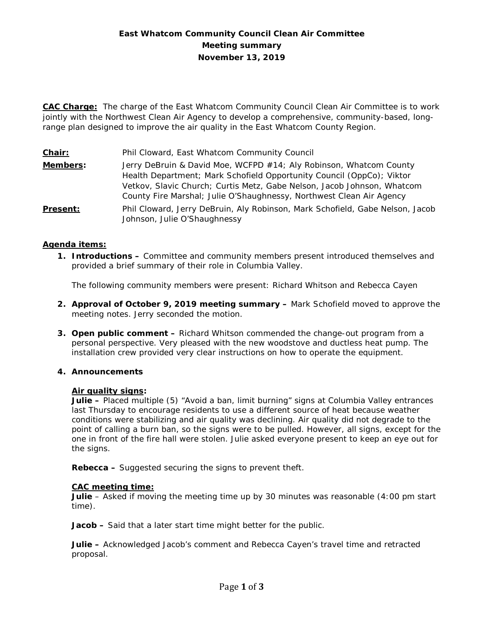# **East Whatcom Community Council Clean Air Committee Meeting summary November 13, 2019**

**CAC Charge:** The charge of the East Whatcom Community Council Clean Air Committee is to work jointly with the Northwest Clean Air Agency to develop a comprehensive, community-based, longrange plan designed to improve the air quality in the East Whatcom County Region.

**Chair:** Phil Cloward, East Whatcom Community Council

**Members:** Jerry DeBruin & David Moe, WCFPD #14; Aly Robinson, Whatcom County Health Department; Mark Schofield Opportunity Council (OppCo); Viktor Vetkov, Slavic Church; Curtis Metz, Gabe Nelson, Jacob Johnson, Whatcom County Fire Marshal; Julie O'Shaughnessy, Northwest Clean Air Agency **Present:** Phil Cloward, Jerry DeBruin, Aly Robinson, Mark Schofield, Gabe Nelson, Jacob Johnson, Julie O'Shaughnessy

# **Agenda items:**

**1. Introductions –** Committee and community members present introduced themselves and provided a brief summary of their role in Columbia Valley.

The following community members were present: Richard Whitson and Rebecca Cayen

- **2. Approval of October 9, 2019 meeting summary –** Mark Schofield moved to approve the meeting notes. Jerry seconded the motion.
- **3. Open public comment –** Richard Whitson commended the change-out program from a personal perspective. Very pleased with the new woodstove and ductless heat pump. The installation crew provided very clear instructions on how to operate the equipment.

## **4. Announcements**

#### **Air quality signs:**

**Julie –** Placed multiple (5) "Avoid a ban, limit burning" signs at Columbia Valley entrances last Thursday to encourage residents to use a different source of heat because weather conditions were stabilizing and air quality was declining. Air quality did not degrade to the point of calling a burn ban, so the signs were to be pulled. However, all signs, except for the one in front of the fire hall were stolen. Julie asked everyone present to keep an eye out for the signs.

**Rebecca –** Suggested securing the signs to prevent theft.

#### **CAC meeting time:**

**Julie** – Asked if moving the meeting time up by 30 minutes was reasonable (4:00 pm start time).

**Jacob –** Said that a later start time might better for the public.

**Julie –** Acknowledged Jacob's comment and Rebecca Cayen's travel time and retracted proposal.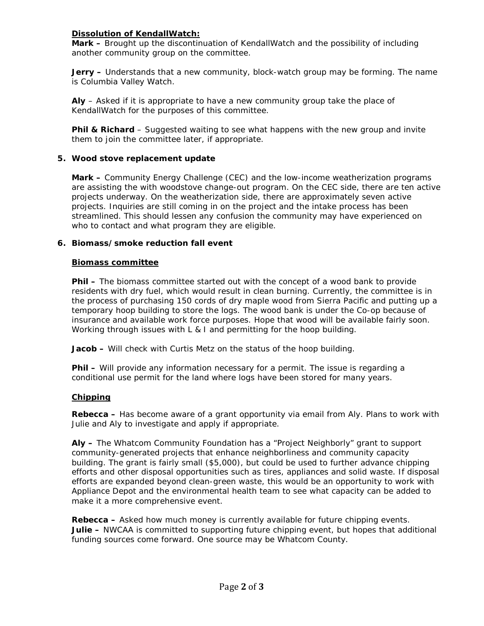# **Dissolution of KendallWatch:**

**Mark –** Brought up the discontinuation of KendallWatch and the possibility of including another community group on the committee.

**Jerry –** Understands that a new community, block-watch group may be forming. The name is Columbia Valley Watch.

**Aly** – Asked if it is appropriate to have a new community group take the place of KendallWatch for the purposes of this committee.

**Phil & Richard** – Suggested waiting to see what happens with the new group and invite them to join the committee later, if appropriate.

## **5. Wood stove replacement update**

**Mark –** Community Energy Challenge (CEC) and the low-income weatherization programs are assisting the with woodstove change-out program. On the CEC side, there are ten active projects underway. On the weatherization side, there are approximately seven active projects. Inquiries are still coming in on the project and the intake process has been streamlined. This should lessen any confusion the community may have experienced on who to contact and what program they are eligible.

# **6. Biomass/smoke reduction fall event**

### **Biomass committee**

**Phil –** The biomass committee started out with the concept of a wood bank to provide residents with dry fuel, which would result in clean burning. Currently, the committee is in the process of purchasing 150 cords of dry maple wood from Sierra Pacific and putting up a temporary hoop building to store the logs. The wood bank is under the Co-op because of insurance and available work force purposes. Hope that wood will be available fairly soon. Working through issues with L & I and permitting for the hoop building.

**Jacob –** Will check with Curtis Metz on the status of the hoop building.

**Phil –** Will provide any information necessary for a permit. The issue is regarding a conditional use permit for the land where logs have been stored for many years.

### **Chipping**

**Rebecca –** Has become aware of a grant opportunity via email from Aly. Plans to work with Julie and Aly to investigate and apply if appropriate.

**Aly –** The Whatcom Community Foundation has a "Project Neighborly" grant to support community-generated projects that enhance neighborliness and community capacity building. The grant is fairly small (\$5,000), but could be used to further advance chipping efforts and other disposal opportunities such as tires, appliances and solid waste. If disposal efforts are expanded beyond clean-green waste, this would be an opportunity to work with Appliance Depot and the environmental health team to see what capacity can be added to make it a more comprehensive event.

**Rebecca –** Asked how much money is currently available for future chipping events. **Julie –** NWCAA is committed to supporting future chipping event, but hopes that additional funding sources come forward. One source may be Whatcom County.